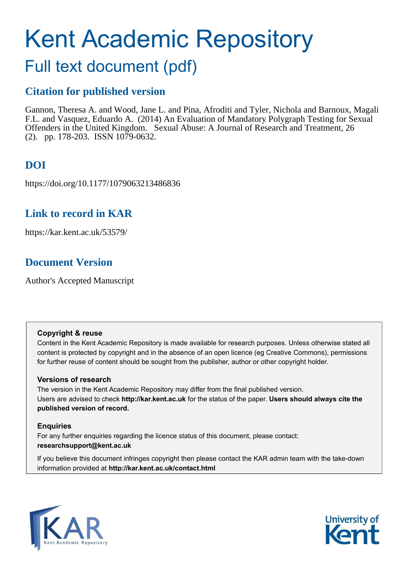# Kent Academic Repository

## Full text document (pdf)

## **Citation for published version**

Gannon, Theresa A. and Wood, Jane L. and Pina, Afroditi and Tyler, Nichola and Barnoux, Magali F.L. and Vasquez, Eduardo A. (2014) An Evaluation of Mandatory Polygraph Testing for Sexual Offenders in the United Kingdom. Sexual Abuse: A Journal of Research and Treatment, 26 (2). pp. 178-203. ISSN 1079-0632.

## **DOI**

https://doi.org/10.1177/1079063213486836

## **Link to record in KAR**

https://kar.kent.ac.uk/53579/

## **Document Version**

Author's Accepted Manuscript

#### **Copyright & reuse**

Content in the Kent Academic Repository is made available for research purposes. Unless otherwise stated all content is protected by copyright and in the absence of an open licence (eg Creative Commons), permissions for further reuse of content should be sought from the publisher, author or other copyright holder.

#### **Versions of research**

The version in the Kent Academic Repository may differ from the final published version. Users are advised to check **http://kar.kent.ac.uk** for the status of the paper. **Users should always cite the published version of record.**

#### **Enquiries**

For any further enquiries regarding the licence status of this document, please contact: **researchsupport@kent.ac.uk**

If you believe this document infringes copyright then please contact the KAR admin team with the take-down information provided at **http://kar.kent.ac.uk/contact.html**



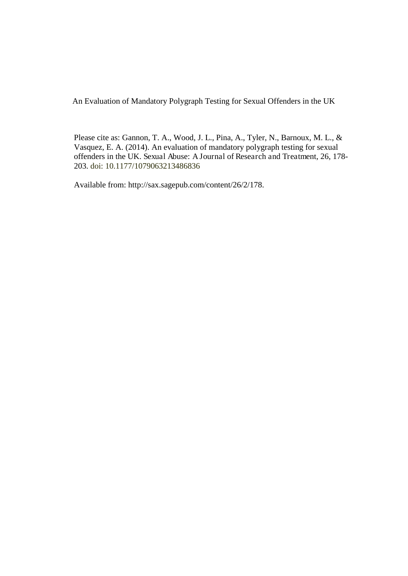An Evaluation of Mandatory Polygraph Testing for Sexual Offenders in the UK

Please cite as: Gannon, T. A., Wood, J. L., Pina, A., Tyler, N., Barnoux, M. L., & Vasquez, E. A. (2014). An evaluation of mandatory polygraph testing for sexual offenders in the UK. Sexual Abuse: A Journal of Research and Treatment, 26, 178- 203. doi: 10.1177/1079063213486836

Available from: http://sax.sagepub.com/content/26/2/178.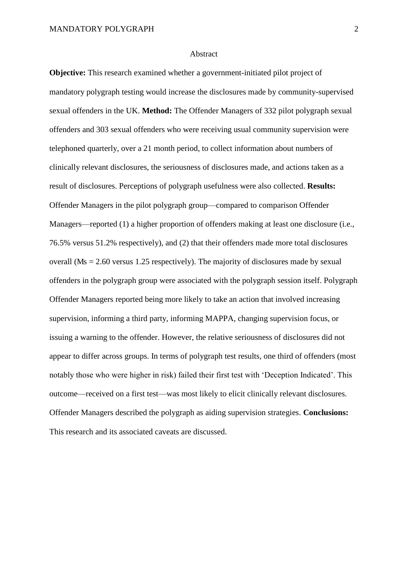#### Abstract

**Objective:** This research examined whether a government-initiated pilot project of mandatory polygraph testing would increase the disclosures made by community-supervised sexual offenders in the UK. **Method:** The Offender Managers of 332 pilot polygraph sexual offenders and 303 sexual offenders who were receiving usual community supervision were telephoned quarterly, over a 21 month period, to collect information about numbers of clinically relevant disclosures, the seriousness of disclosures made, and actions taken as a result of disclosures. Perceptions of polygraph usefulness were also collected. **Results:**  Offender Managers in the pilot polygraph group—compared to comparison Offender Managers—reported (1) a higher proportion of offenders making at least one disclosure (i.e., 76.5% versus 51.2% respectively), and (2) that their offenders made more total disclosures overall (Ms = 2.60 versus 1.25 respectively). The majority of disclosures made by sexual offenders in the polygraph group were associated with the polygraph session itself. Polygraph Offender Managers reported being more likely to take an action that involved increasing supervision, informing a third party, informing MAPPA, changing supervision focus, or issuing a warning to the offender. However, the relative seriousness of disclosures did not appear to differ across groups. In terms of polygraph test results, one third of offenders (most notably those who were higher in risk) failed their first test with 'Deception Indicated'. This outcome—received on a first test—was most likely to elicit clinically relevant disclosures. Offender Managers described the polygraph as aiding supervision strategies. **Conclusions:**  This research and its associated caveats are discussed.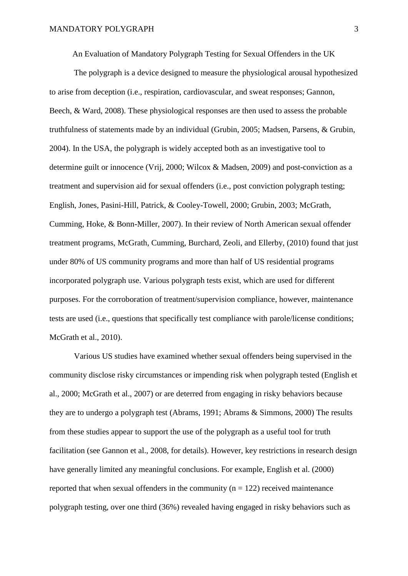An Evaluation of Mandatory Polygraph Testing for Sexual Offenders in the UK

The polygraph is a device designed to measure the physiological arousal hypothesized to arise from deception (i.e., respiration, cardiovascular, and sweat responses; Gannon, Beech, & Ward, 2008). These physiological responses are then used to assess the probable truthfulness of statements made by an individual (Grubin, 2005; Madsen, Parsens, & Grubin, 2004). In the USA, the polygraph is widely accepted both as an investigative tool to determine guilt or innocence (Vrij, 2000; Wilcox & Madsen, 2009) and post-conviction as a treatment and supervision aid for sexual offenders (i.e., post conviction polygraph testing; English, Jones, Pasini-Hill, Patrick, & Cooley-Towell, 2000; Grubin, 2003; McGrath, Cumming, Hoke, & Bonn-Miller, 2007). In their review of North American sexual offender treatment programs, McGrath, Cumming, Burchard, Zeoli, and Ellerby, (2010) found that just under 80% of US community programs and more than half of US residential programs incorporated polygraph use. Various polygraph tests exist, which are used for different purposes. For the corroboration of treatment/supervision compliance, however, maintenance tests are used (i.e., questions that specifically test compliance with parole/license conditions; McGrath et al., 2010).

Various US studies have examined whether sexual offenders being supervised in the community disclose risky circumstances or impending risk when polygraph tested (English et al., 2000; McGrath et al., 2007) or are deterred from engaging in risky behaviors because they are to undergo a polygraph test (Abrams, 1991; Abrams & Simmons, 2000) The results from these studies appear to support the use of the polygraph as a useful tool for truth facilitation (see Gannon et al., 2008, for details). However, key restrictions in research design have generally limited any meaningful conclusions. For example, English et al. (2000) reported that when sexual offenders in the community ( $n = 122$ ) received maintenance polygraph testing, over one third (36%) revealed having engaged in risky behaviors such as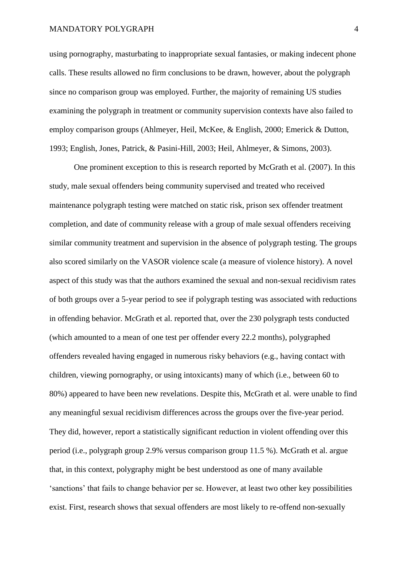using pornography, masturbating to inappropriate sexual fantasies, or making indecent phone calls. These results allowed no firm conclusions to be drawn, however, about the polygraph since no comparison group was employed. Further, the majority of remaining US studies examining the polygraph in treatment or community supervision contexts have also failed to employ comparison groups (Ahlmeyer, Heil, McKee, & English, 2000; Emerick & Dutton, 1993; English, Jones, Patrick, & Pasini-Hill, 2003; Heil, Ahlmeyer, & Simons, 2003).

One prominent exception to this is research reported by McGrath et al. (2007). In this study, male sexual offenders being community supervised and treated who received maintenance polygraph testing were matched on static risk, prison sex offender treatment completion, and date of community release with a group of male sexual offenders receiving similar community treatment and supervision in the absence of polygraph testing. The groups also scored similarly on the VASOR violence scale (a measure of violence history). A novel aspect of this study was that the authors examined the sexual and non-sexual recidivism rates of both groups over a 5-year period to see if polygraph testing was associated with reductions in offending behavior. McGrath et al. reported that, over the 230 polygraph tests conducted (which amounted to a mean of one test per offender every 22.2 months), polygraphed offenders revealed having engaged in numerous risky behaviors (e.g., having contact with children, viewing pornography, or using intoxicants) many of which (i.e., between 60 to 80%) appeared to have been new revelations. Despite this, McGrath et al. were unable to find any meaningful sexual recidivism differences across the groups over the five-year period. They did, however, report a statistically significant reduction in violent offending over this period (i.e., polygraph group 2.9% versus comparison group 11.5 %). McGrath et al. argue that, in this context, polygraphy might be best understood as one of many available 'sanctions' that fails to change behavior per se. However, at least two other key possibilities exist. First, research shows that sexual offenders are most likely to re-offend non-sexually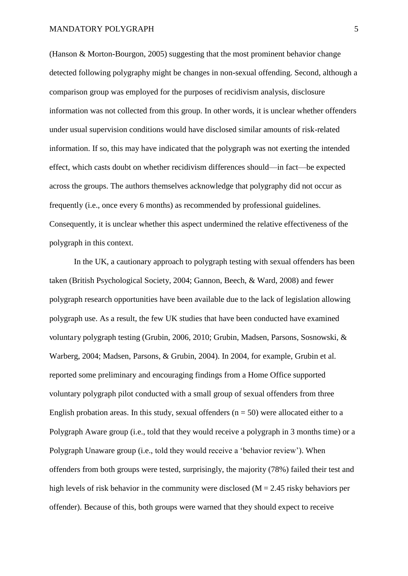(Hanson & Morton-Bourgon, 2005) suggesting that the most prominent behavior change detected following polygraphy might be changes in non-sexual offending. Second, although a comparison group was employed for the purposes of recidivism analysis, disclosure information was not collected from this group. In other words, it is unclear whether offenders under usual supervision conditions would have disclosed similar amounts of risk-related information. If so, this may have indicated that the polygraph was not exerting the intended effect, which casts doubt on whether recidivism differences should—in fact—be expected across the groups. The authors themselves acknowledge that polygraphy did not occur as frequently (i.e., once every 6 months) as recommended by professional guidelines. Consequently, it is unclear whether this aspect undermined the relative effectiveness of the polygraph in this context.

In the UK, a cautionary approach to polygraph testing with sexual offenders has been taken (British Psychological Society, 2004; Gannon, Beech, & Ward, 2008) and fewer polygraph research opportunities have been available due to the lack of legislation allowing polygraph use. As a result, the few UK studies that have been conducted have examined voluntary polygraph testing (Grubin, 2006, 2010; Grubin, Madsen, Parsons, Sosnowski, & Warberg, 2004; Madsen, Parsons, & Grubin, 2004). In 2004, for example, Grubin et al. reported some preliminary and encouraging findings from a Home Office supported voluntary polygraph pilot conducted with a small group of sexual offenders from three English probation areas. In this study, sexual offenders  $(n = 50)$  were allocated either to a Polygraph Aware group (i.e., told that they would receive a polygraph in 3 months time) or a Polygraph Unaware group (i.e., told they would receive a 'behavior review'). When offenders from both groups were tested, surprisingly, the majority (78%) failed their test and high levels of risk behavior in the community were disclosed ( $M = 2.45$  risky behaviors per offender). Because of this, both groups were warned that they should expect to receive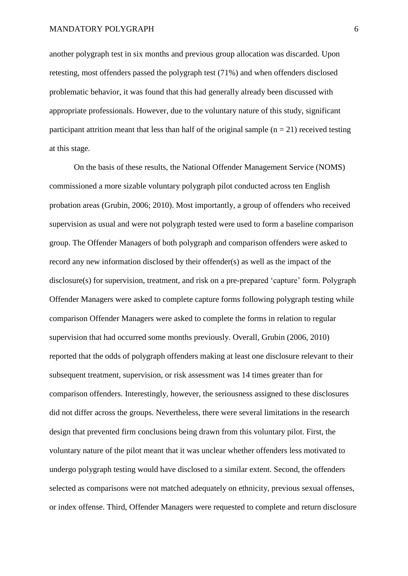another polygraph test in six months and previous group allocation was discarded. Upon retesting, most offenders passed the polygraph test (71%) and when offenders disclosed problematic behavior, it was found that this had generally already been discussed with appropriate professionals. However, due to the voluntary nature of this study, significant participant attrition meant that less than half of the original sample  $(n = 21)$  received testing at this stage.

 On the basis of these results, the National Offender Management Service (NOMS) commissioned a more sizable voluntary polygraph pilot conducted across ten English probation areas (Grubin, 2006; 2010). Most importantly, a group of offenders who received supervision as usual and were not polygraph tested were used to form a baseline comparison group. The Offender Managers of both polygraph and comparison offenders were asked to record any new information disclosed by their offender(s) as well as the impact of the disclosure(s) for supervision, treatment, and risk on a pre-prepared 'capture' form. Polygraph Offender Managers were asked to complete capture forms following polygraph testing while comparison Offender Managers were asked to complete the forms in relation to regular supervision that had occurred some months previously. Overall, Grubin (2006, 2010) reported that the odds of polygraph offenders making at least one disclosure relevant to their subsequent treatment, supervision, or risk assessment was 14 times greater than for comparison offenders. Interestingly, however, the seriousness assigned to these disclosures did not differ across the groups. Nevertheless, there were several limitations in the research design that prevented firm conclusions being drawn from this voluntary pilot. First, the voluntary nature of the pilot meant that it was unclear whether offenders less motivated to undergo polygraph testing would have disclosed to a similar extent. Second, the offenders selected as comparisons were not matched adequately on ethnicity, previous sexual offenses, or index offense. Third, Offender Managers were requested to complete and return disclosure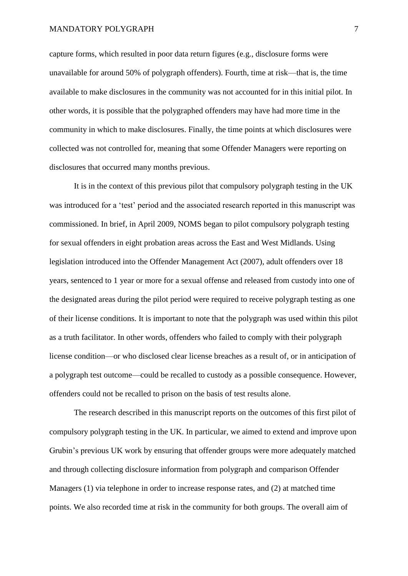capture forms, which resulted in poor data return figures (e.g., disclosure forms were unavailable for around 50% of polygraph offenders). Fourth, time at risk—that is, the time available to make disclosures in the community was not accounted for in this initial pilot. In other words, it is possible that the polygraphed offenders may have had more time in the community in which to make disclosures. Finally, the time points at which disclosures were collected was not controlled for, meaning that some Offender Managers were reporting on disclosures that occurred many months previous.

 It is in the context of this previous pilot that compulsory polygraph testing in the UK was introduced for a 'test' period and the associated research reported in this manuscript was commissioned. In brief, in April 2009, NOMS began to pilot compulsory polygraph testing for sexual offenders in eight probation areas across the East and West Midlands. Using legislation introduced into the Offender Management Act (2007), adult offenders over 18 years, sentenced to 1 year or more for a sexual offense and released from custody into one of the designated areas during the pilot period were required to receive polygraph testing as one of their license conditions. It is important to note that the polygraph was used within this pilot as a truth facilitator. In other words, offenders who failed to comply with their polygraph license condition—or who disclosed clear license breaches as a result of, or in anticipation of a polygraph test outcome—could be recalled to custody as a possible consequence. However, offenders could not be recalled to prison on the basis of test results alone.

The research described in this manuscript reports on the outcomes of this first pilot of compulsory polygraph testing in the UK. In particular, we aimed to extend and improve upon Grubin's previous UK work by ensuring that offender groups were more adequately matched and through collecting disclosure information from polygraph and comparison Offender Managers (1) via telephone in order to increase response rates, and (2) at matched time points. We also recorded time at risk in the community for both groups. The overall aim of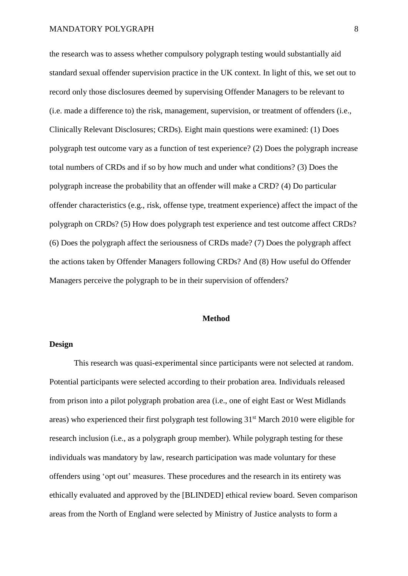the research was to assess whether compulsory polygraph testing would substantially aid standard sexual offender supervision practice in the UK context. In light of this, we set out to record only those disclosures deemed by supervising Offender Managers to be relevant to (i.e. made a difference to) the risk, management, supervision, or treatment of offenders (i.e., Clinically Relevant Disclosures; CRDs). Eight main questions were examined: (1) Does polygraph test outcome vary as a function of test experience? (2) Does the polygraph increase total numbers of CRDs and if so by how much and under what conditions? (3) Does the polygraph increase the probability that an offender will make a CRD? (4) Do particular offender characteristics (e.g., risk, offense type, treatment experience) affect the impact of the polygraph on CRDs? (5) How does polygraph test experience and test outcome affect CRDs? (6) Does the polygraph affect the seriousness of CRDs made? (7) Does the polygraph affect the actions taken by Offender Managers following CRDs? And (8) How useful do Offender Managers perceive the polygraph to be in their supervision of offenders?

#### **Method**

#### **Design**

This research was quasi-experimental since participants were not selected at random. Potential participants were selected according to their probation area. Individuals released from prison into a pilot polygraph probation area (i.e., one of eight East or West Midlands areas) who experienced their first polygraph test following 31<sup>st</sup> March 2010 were eligible for research inclusion (i.e., as a polygraph group member). While polygraph testing for these individuals was mandatory by law, research participation was made voluntary for these offenders using 'opt out' measures. These procedures and the research in its entirety was ethically evaluated and approved by the [BLINDED] ethical review board. Seven comparison areas from the North of England were selected by Ministry of Justice analysts to form a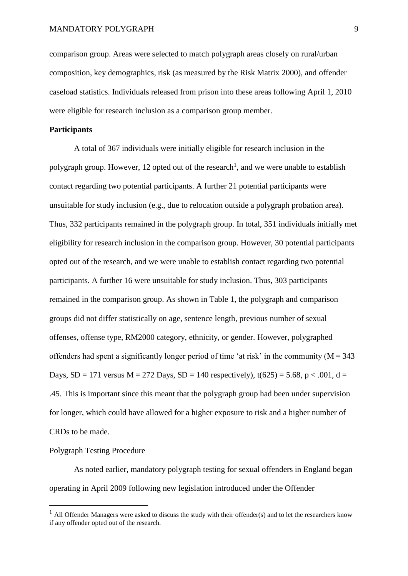comparison group. Areas were selected to match polygraph areas closely on rural/urban composition, key demographics, risk (as measured by the Risk Matrix 2000), and offender caseload statistics. Individuals released from prison into these areas following April 1, 2010 were eligible for research inclusion as a comparison group member.

#### **Participants**

A total of 367 individuals were initially eligible for research inclusion in the polygraph group. However, 12 opted out of the research<sup>1</sup>, and we were unable to establish contact regarding two potential participants. A further 21 potential participants were unsuitable for study inclusion (e.g., due to relocation outside a polygraph probation area). Thus, 332 participants remained in the polygraph group. In total, 351 individuals initially met eligibility for research inclusion in the comparison group. However, 30 potential participants opted out of the research, and we were unable to establish contact regarding two potential participants. A further 16 were unsuitable for study inclusion. Thus, 303 participants remained in the comparison group. As shown in Table 1, the polygraph and comparison groups did not differ statistically on age, sentence length, previous number of sexual offenses, offense type, RM2000 category, ethnicity, or gender. However, polygraphed offenders had spent a significantly longer period of time 'at risk' in the community ( $M = 343$ ) Days,  $SD = 171$  versus  $M = 272$  Days,  $SD = 140$  respectively),  $t(625) = 5.68$ ,  $p < .001$ ,  $d =$ .45. This is important since this meant that the polygraph group had been under supervision for longer, which could have allowed for a higher exposure to risk and a higher number of CRDs to be made.

#### Polygraph Testing Procedure

-

As noted earlier, mandatory polygraph testing for sexual offenders in England began operating in April 2009 following new legislation introduced under the Offender

<sup>&</sup>lt;sup>1</sup> All Offender Managers were asked to discuss the study with their offender(s) and to let the researchers know if any offender opted out of the research.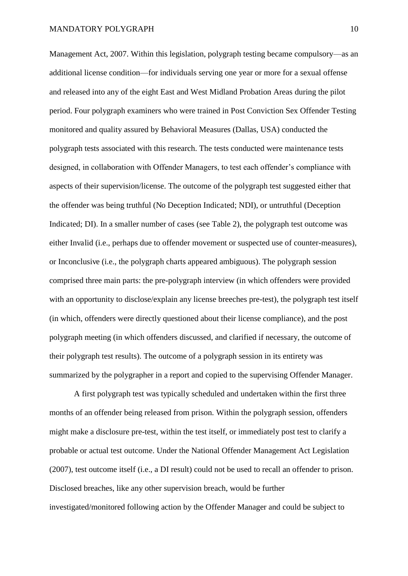Management Act, 2007. Within this legislation, polygraph testing became compulsory—as an additional license condition—for individuals serving one year or more for a sexual offense and released into any of the eight East and West Midland Probation Areas during the pilot period. Four polygraph examiners who were trained in Post Conviction Sex Offender Testing monitored and quality assured by Behavioral Measures (Dallas, USA) conducted the polygraph tests associated with this research. The tests conducted were maintenance tests designed, in collaboration with Offender Managers, to test each offender's compliance with aspects of their supervision/license. The outcome of the polygraph test suggested either that the offender was being truthful (No Deception Indicated; NDI), or untruthful (Deception Indicated; DI). In a smaller number of cases (see Table 2), the polygraph test outcome was either Invalid (i.e., perhaps due to offender movement or suspected use of counter-measures), or Inconclusive (i.e., the polygraph charts appeared ambiguous). The polygraph session comprised three main parts: the pre-polygraph interview (in which offenders were provided with an opportunity to disclose/explain any license breeches pre-test), the polygraph test itself (in which, offenders were directly questioned about their license compliance), and the post polygraph meeting (in which offenders discussed, and clarified if necessary, the outcome of their polygraph test results). The outcome of a polygraph session in its entirety was summarized by the polygrapher in a report and copied to the supervising Offender Manager.

A first polygraph test was typically scheduled and undertaken within the first three months of an offender being released from prison. Within the polygraph session, offenders might make a disclosure pre-test, within the test itself, or immediately post test to clarify a probable or actual test outcome. Under the National Offender Management Act Legislation (2007), test outcome itself (i.e., a DI result) could not be used to recall an offender to prison. Disclosed breaches, like any other supervision breach, would be further investigated/monitored following action by the Offender Manager and could be subject to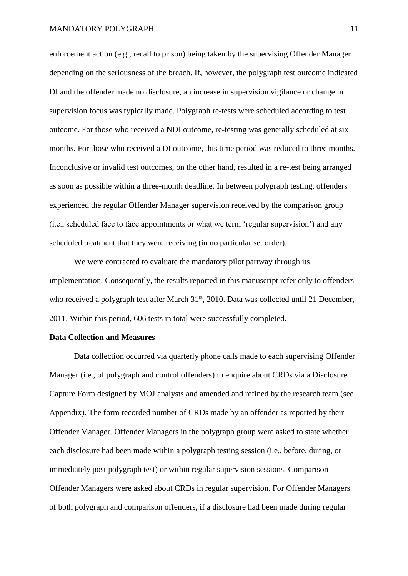enforcement action (e.g., recall to prison) being taken by the supervising Offender Manager depending on the seriousness of the breach. If, however, the polygraph test outcome indicated DI and the offender made no disclosure, an increase in supervision vigilance or change in supervision focus was typically made. Polygraph re-tests were scheduled according to test outcome. For those who received a NDI outcome, re-testing was generally scheduled at six months. For those who received a DI outcome, this time period was reduced to three months. Inconclusive or invalid test outcomes, on the other hand, resulted in a re-test being arranged as soon as possible within a three-month deadline. In between polygraph testing, offenders experienced the regular Offender Manager supervision received by the comparison group (i.e., scheduled face to face appointments or what we term 'regular supervision') and any scheduled treatment that they were receiving (in no particular set order).

We were contracted to evaluate the mandatory pilot partway through its implementation. Consequently, the results reported in this manuscript refer only to offenders who received a polygraph test after March 31<sup>st</sup>, 2010. Data was collected until 21 December, 2011. Within this period, 606 tests in total were successfully completed.

#### **Data Collection and Measures**

 Data collection occurred via quarterly phone calls made to each supervising Offender Manager (i.e., of polygraph and control offenders) to enquire about CRDs via a Disclosure Capture Form designed by MOJ analysts and amended and refined by the research team (see Appendix). The form recorded number of CRDs made by an offender as reported by their Offender Manager. Offender Managers in the polygraph group were asked to state whether each disclosure had been made within a polygraph testing session (i.e., before, during, or immediately post polygraph test) or within regular supervision sessions. Comparison Offender Managers were asked about CRDs in regular supervision. For Offender Managers of both polygraph and comparison offenders, if a disclosure had been made during regular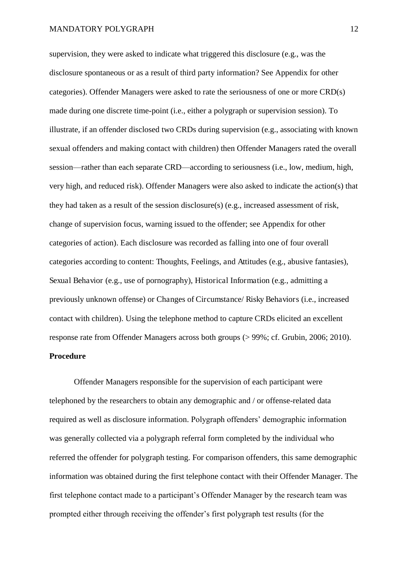supervision, they were asked to indicate what triggered this disclosure (e.g., was the disclosure spontaneous or as a result of third party information? See Appendix for other categories). Offender Managers were asked to rate the seriousness of one or more CRD(s) made during one discrete time-point (i.e., either a polygraph or supervision session). To illustrate, if an offender disclosed two CRDs during supervision (e.g., associating with known sexual offenders and making contact with children) then Offender Managers rated the overall session—rather than each separate CRD—according to seriousness (i.e., low, medium, high, very high, and reduced risk). Offender Managers were also asked to indicate the action(s) that they had taken as a result of the session disclosure(s) (e.g., increased assessment of risk, change of supervision focus, warning issued to the offender; see Appendix for other categories of action). Each disclosure was recorded as falling into one of four overall categories according to content: Thoughts, Feelings, and Attitudes (e.g., abusive fantasies), Sexual Behavior (e.g., use of pornography), Historical Information (e.g., admitting a previously unknown offense) or Changes of Circumstance/ Risky Behaviors (i.e., increased contact with children). Using the telephone method to capture CRDs elicited an excellent response rate from Offender Managers across both groups (> 99%; cf. Grubin, 2006; 2010).

#### **Procedure**

Offender Managers responsible for the supervision of each participant were telephoned by the researchers to obtain any demographic and / or offense-related data required as well as disclosure information. Polygraph offenders' demographic information was generally collected via a polygraph referral form completed by the individual who referred the offender for polygraph testing. For comparison offenders, this same demographic information was obtained during the first telephone contact with their Offender Manager. The first telephone contact made to a participant's Offender Manager by the research team was prompted either through receiving the offender's first polygraph test results (for the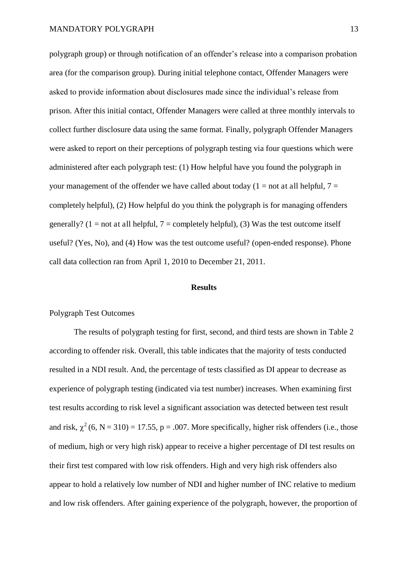polygraph group) or through notification of an offender's release into a comparison probation area (for the comparison group). During initial telephone contact, Offender Managers were asked to provide information about disclosures made since the individual's release from prison. After this initial contact, Offender Managers were called at three monthly intervals to collect further disclosure data using the same format. Finally, polygraph Offender Managers were asked to report on their perceptions of polygraph testing via four questions which were administered after each polygraph test: (1) How helpful have you found the polygraph in your management of the offender we have called about today ( $1 =$  not at all helpful,  $7 =$ completely helpful), (2) How helpful do you think the polygraph is for managing offenders generally? (1 = not at all helpful, 7 = completely helpful), (3) Was the test outcome itself useful? (Yes, No), and (4) How was the test outcome useful? (open-ended response). Phone call data collection ran from April 1, 2010 to December 21, 2011.

#### **Results**

#### Polygraph Test Outcomes

 The results of polygraph testing for first, second, and third tests are shown in Table 2 according to offender risk. Overall, this table indicates that the majority of tests conducted resulted in a NDI result. And, the percentage of tests classified as DI appear to decrease as experience of polygraph testing (indicated via test number) increases. When examining first test results according to risk level a significant association was detected between test result and risk,  $\chi^2$  (6, N = 310) = 17.55, p = .007. More specifically, higher risk offenders (i.e., those of medium, high or very high risk) appear to receive a higher percentage of DI test results on their first test compared with low risk offenders. High and very high risk offenders also appear to hold a relatively low number of NDI and higher number of INC relative to medium and low risk offenders. After gaining experience of the polygraph, however, the proportion of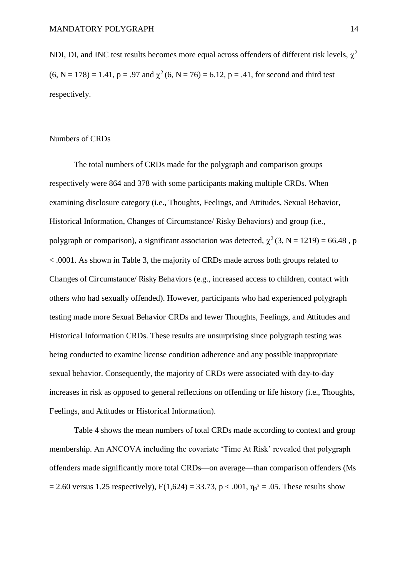NDI, DI, and INC test results becomes more equal across offenders of different risk levels,  $\chi^2$  $(6, N = 178) = 1.41$ ,  $p = .97$  and  $\chi^2$   $(6, N = 76) = 6.12$ ,  $p = .41$ , for second and third test respectively.

#### Numbers of CRDs

The total numbers of CRDs made for the polygraph and comparison groups respectively were 864 and 378 with some participants making multiple CRDs. When examining disclosure category (i.e., Thoughts, Feelings, and Attitudes, Sexual Behavior, Historical Information, Changes of Circumstance/ Risky Behaviors) and group (i.e., polygraph or comparison), a significant association was detected,  $\chi^2(3, N = 1219) = 66.48$ , p < .0001. As shown in Table 3, the majority of CRDs made across both groups related to Changes of Circumstance/ Risky Behaviors (e.g., increased access to children, contact with others who had sexually offended). However, participants who had experienced polygraph testing made more Sexual Behavior CRDs and fewer Thoughts, Feelings, and Attitudes and Historical Information CRDs. These results are unsurprising since polygraph testing was being conducted to examine license condition adherence and any possible inappropriate sexual behavior. Consequently, the majority of CRDs were associated with day-to-day increases in risk as opposed to general reflections on offending or life history (i.e., Thoughts, Feelings, and Attitudes or Historical Information).

 Table 4 shows the mean numbers of total CRDs made according to context and group membership. An ANCOVA including the covariate 'Time At Risk' revealed that polygraph offenders made significantly more total CRDs—on average—than comparison offenders (Ms = 2.60 versus 1.25 respectively),  $F(1,624) = 33.73$ ,  $p < .001$ ,  $\eta_p^2 = .05$ . These results show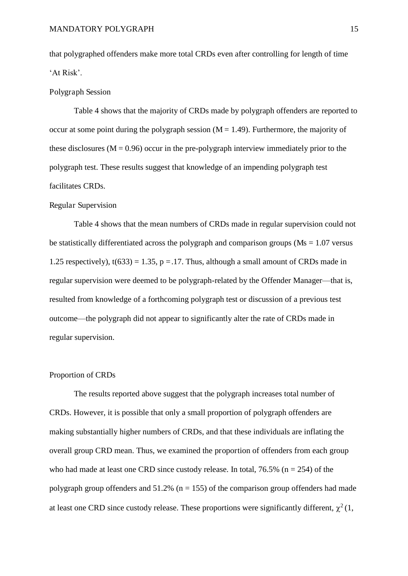that polygraphed offenders make more total CRDs even after controlling for length of time 'At Risk'.

#### Polygraph Session

 Table 4 shows that the majority of CRDs made by polygraph offenders are reported to occur at some point during the polygraph session ( $M = 1.49$ ). Furthermore, the majority of these disclosures  $(M = 0.96)$  occur in the pre-polygraph interview immediately prior to the polygraph test. These results suggest that knowledge of an impending polygraph test facilitates CRDs.

#### Regular Supervision

Table 4 shows that the mean numbers of CRDs made in regular supervision could not be statistically differentiated across the polygraph and comparison groups ( $Ms = 1.07$  versus 1.25 respectively),  $t(633) = 1.35$ ,  $p = 17$ . Thus, although a small amount of CRDs made in regular supervision were deemed to be polygraph-related by the Offender Manager—that is, resulted from knowledge of a forthcoming polygraph test or discussion of a previous test outcome—the polygraph did not appear to significantly alter the rate of CRDs made in regular supervision.

#### Proportion of CRDs

The results reported above suggest that the polygraph increases total number of CRDs. However, it is possible that only a small proportion of polygraph offenders are making substantially higher numbers of CRDs, and that these individuals are inflating the overall group CRD mean. Thus, we examined the proportion of offenders from each group who had made at least one CRD since custody release. In total,  $76.5\%$  (n = 254) of the polygraph group offenders and  $51.2\%$  (n = 155) of the comparison group offenders had made at least one CRD since custody release. These proportions were significantly different,  $\chi^2(1)$ ,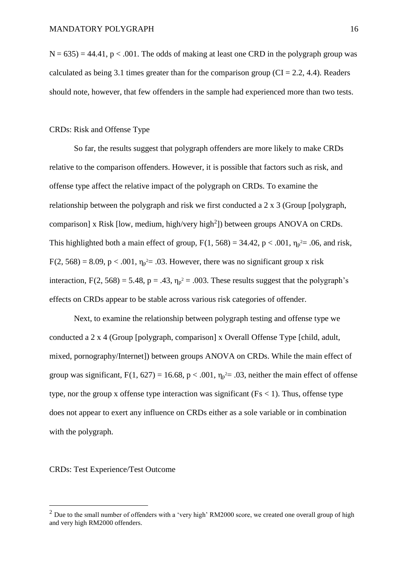$N = 635$ ) = 44.41, p < .001. The odds of making at least one CRD in the polygraph group was calculated as being 3.1 times greater than for the comparison group ( $CI = 2.2, 4.4$ ). Readers should note, however, that few offenders in the sample had experienced more than two tests.

#### CRDs: Risk and Offense Type

So far, the results suggest that polygraph offenders are more likely to make CRDs relative to the comparison offenders. However, it is possible that factors such as risk, and offense type affect the relative impact of the polygraph on CRDs. To examine the relationship between the polygraph and risk we first conducted a 2 x 3 (Group [polygraph, comparison] x Risk [low, medium, high/very high<sup>2</sup>]) between groups ANOVA on CRDs. This highlighted both a main effect of group,  $F(1, 568) = 34.42$ ,  $p < .001$ ,  $\eta_p^2 = .06$ , and risk,  $F(2, 568) = 8.09$ ,  $p < .001$ ,  $\eta_p^2 = .03$ . However, there was no significant group x risk interaction, F(2, 568) = 5.48,  $p = .43$ ,  $\eta_p^2 = .003$ . These results suggest that the polygraph's effects on CRDs appear to be stable across various risk categories of offender.

Next, to examine the relationship between polygraph testing and offense type we conducted a 2 x 4 (Group [polygraph, comparison] x Overall Offense Type [child, adult, mixed, pornography/Internet]) between groups ANOVA on CRDs. While the main effect of group was significant,  $F(1, 627) = 16.68$ ,  $p < .001$ ,  $\eta_p^2 = .03$ , neither the main effect of offense type, nor the group x offense type interaction was significant ( $Fs < 1$ ). Thus, offense type does not appear to exert any influence on CRDs either as a sole variable or in combination with the polygraph.

#### CRDs: Test Experience/Test Outcome

-

 $2$  Due to the small number of offenders with a 'very high' RM2000 score, we created one overall group of high and very high RM2000 offenders.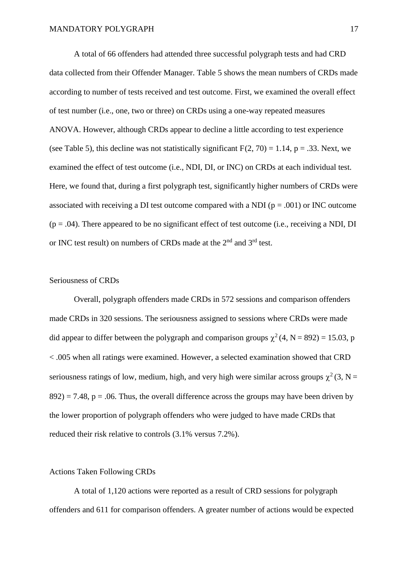A total of 66 offenders had attended three successful polygraph tests and had CRD data collected from their Offender Manager. Table 5 shows the mean numbers of CRDs made according to number of tests received and test outcome. First, we examined the overall effect of test number (i.e., one, two or three) on CRDs using a one-way repeated measures ANOVA. However, although CRDs appear to decline a little according to test experience (see Table 5), this decline was not statistically significant  $F(2, 70) = 1.14$ ,  $p = .33$ . Next, we examined the effect of test outcome (i.e., NDI, DI, or INC) on CRDs at each individual test. Here, we found that, during a first polygraph test, significantly higher numbers of CRDs were associated with receiving a DI test outcome compared with a NDI ( $p = .001$ ) or INC outcome  $(p = .04)$ . There appeared to be no significant effect of test outcome (i.e., receiving a NDI, DI or INC test result) on numbers of CRDs made at the 2nd and 3rd test.

#### Seriousness of CRDs

 Overall, polygraph offenders made CRDs in 572 sessions and comparison offenders made CRDs in 320 sessions. The seriousness assigned to sessions where CRDs were made did appear to differ between the polygraph and comparison groups  $\chi^2$  (4, N = 892) = 15.03, p < .005 when all ratings were examined. However, a selected examination showed that CRD seriousness ratings of low, medium, high, and very high were similar across groups  $\chi^2(3, N =$  $892$ ) = 7.48, p = .06. Thus, the overall difference across the groups may have been driven by the lower proportion of polygraph offenders who were judged to have made CRDs that reduced their risk relative to controls (3.1% versus 7.2%).

#### Actions Taken Following CRDs

 A total of 1,120 actions were reported as a result of CRD sessions for polygraph offenders and 611 for comparison offenders. A greater number of actions would be expected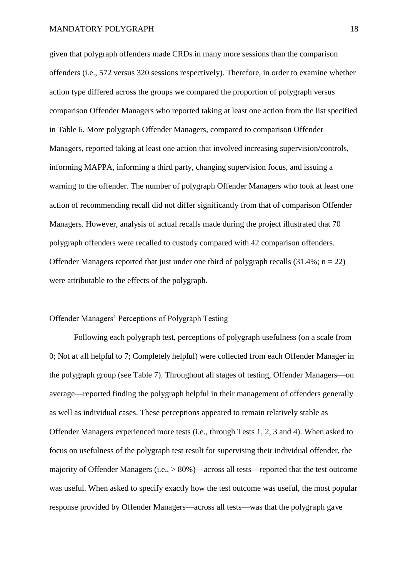given that polygraph offenders made CRDs in many more sessions than the comparison offenders (i.e., 572 versus 320 sessions respectively). Therefore, in order to examine whether action type differed across the groups we compared the proportion of polygraph versus comparison Offender Managers who reported taking at least one action from the list specified in Table 6. More polygraph Offender Managers, compared to comparison Offender Managers, reported taking at least one action that involved increasing supervision/controls, informing MAPPA, informing a third party, changing supervision focus, and issuing a warning to the offender. The number of polygraph Offender Managers who took at least one action of recommending recall did not differ significantly from that of comparison Offender Managers. However, analysis of actual recalls made during the project illustrated that 70 polygraph offenders were recalled to custody compared with 42 comparison offenders. Offender Managers reported that just under one third of polygraph recalls  $(31.4\%; n = 22)$ were attributable to the effects of the polygraph.

#### Offender Managers' Perceptions of Polygraph Testing

 Following each polygraph test, perceptions of polygraph usefulness (on a scale from 0; Not at all helpful to 7; Completely helpful) were collected from each Offender Manager in the polygraph group (see Table 7). Throughout all stages of testing, Offender Managers—on average—reported finding the polygraph helpful in their management of offenders generally as well as individual cases. These perceptions appeared to remain relatively stable as Offender Managers experienced more tests (i.e., through Tests 1, 2, 3 and 4). When asked to focus on usefulness of the polygraph test result for supervising their individual offender, the majority of Offender Managers (i.e., > 80%)—across all tests—reported that the test outcome was useful. When asked to specify exactly how the test outcome was useful, the most popular response provided by Offender Managers—across all tests—was that the polygraph gave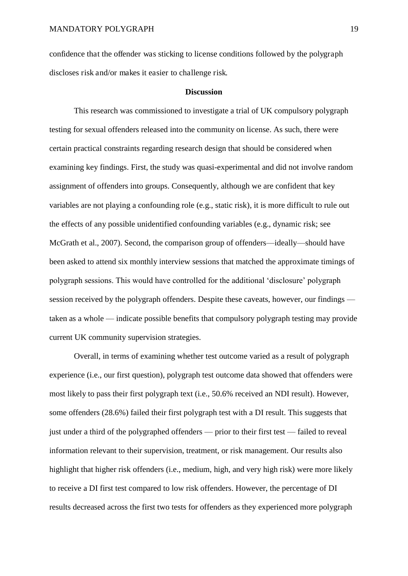confidence that the offender was sticking to license conditions followed by the polygraph discloses risk and/or makes it easier to challenge risk.

#### **Discussion**

This research was commissioned to investigate a trial of UK compulsory polygraph testing for sexual offenders released into the community on license. As such, there were certain practical constraints regarding research design that should be considered when examining key findings. First, the study was quasi-experimental and did not involve random assignment of offenders into groups. Consequently, although we are confident that key variables are not playing a confounding role (e.g., static risk), it is more difficult to rule out the effects of any possible unidentified confounding variables (e.g., dynamic risk; see McGrath et al., 2007). Second, the comparison group of offenders—ideally—should have been asked to attend six monthly interview sessions that matched the approximate timings of polygraph sessions. This would have controlled for the additional 'disclosure' polygraph session received by the polygraph offenders. Despite these caveats, however, our findings taken as a whole — indicate possible benefits that compulsory polygraph testing may provide current UK community supervision strategies.

Overall, in terms of examining whether test outcome varied as a result of polygraph experience (i.e., our first question), polygraph test outcome data showed that offenders were most likely to pass their first polygraph text (i.e., 50.6% received an NDI result). However, some offenders (28.6%) failed their first polygraph test with a DI result. This suggests that just under a third of the polygraphed offenders — prior to their first test — failed to reveal information relevant to their supervision, treatment, or risk management. Our results also highlight that higher risk offenders (i.e., medium, high, and very high risk) were more likely to receive a DI first test compared to low risk offenders. However, the percentage of DI results decreased across the first two tests for offenders as they experienced more polygraph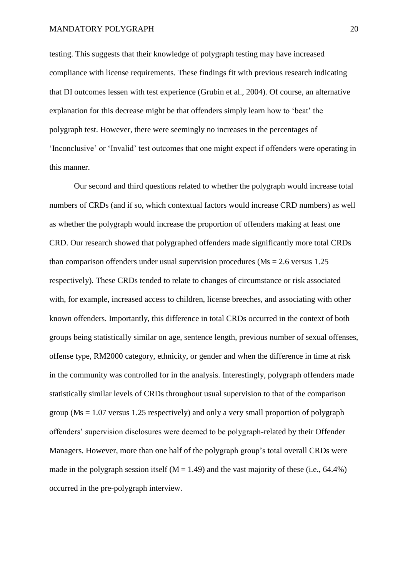testing. This suggests that their knowledge of polygraph testing may have increased compliance with license requirements. These findings fit with previous research indicating that DI outcomes lessen with test experience (Grubin et al., 2004). Of course, an alternative explanation for this decrease might be that offenders simply learn how to 'beat' the polygraph test. However, there were seemingly no increases in the percentages of 'Inconclusive' or 'Invalid' test outcomes that one might expect if offenders were operating in this manner.

Our second and third questions related to whether the polygraph would increase total numbers of CRDs (and if so, which contextual factors would increase CRD numbers) as well as whether the polygraph would increase the proportion of offenders making at least one CRD. Our research showed that polygraphed offenders made significantly more total CRDs than comparison offenders under usual supervision procedures ( $Ms = 2.6$  versus 1.25 respectively). These CRDs tended to relate to changes of circumstance or risk associated with, for example, increased access to children, license breeches, and associating with other known offenders. Importantly, this difference in total CRDs occurred in the context of both groups being statistically similar on age, sentence length, previous number of sexual offenses, offense type, RM2000 category, ethnicity, or gender and when the difference in time at risk in the community was controlled for in the analysis. Interestingly, polygraph offenders made statistically similar levels of CRDs throughout usual supervision to that of the comparison group ( $Ms = 1.07$  versus 1.25 respectively) and only a very small proportion of polygraph offenders' supervision disclosures were deemed to be polygraph-related by their Offender Managers. However, more than one half of the polygraph group's total overall CRDs were made in the polygraph session itself ( $M = 1.49$ ) and the vast majority of these (i.e., 64.4%) occurred in the pre-polygraph interview.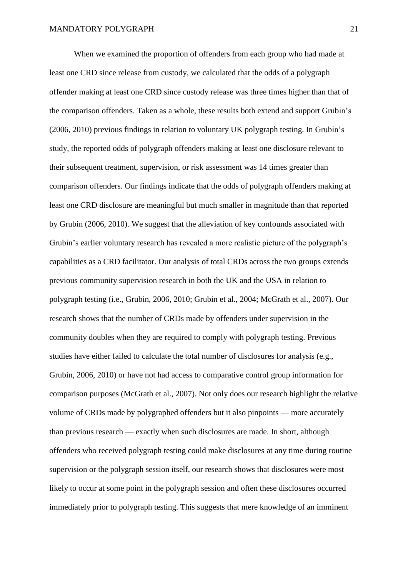When we examined the proportion of offenders from each group who had made at least one CRD since release from custody, we calculated that the odds of a polygraph offender making at least one CRD since custody release was three times higher than that of the comparison offenders. Taken as a whole, these results both extend and support Grubin's (2006, 2010) previous findings in relation to voluntary UK polygraph testing. In Grubin's study, the reported odds of polygraph offenders making at least one disclosure relevant to their subsequent treatment, supervision, or risk assessment was 14 times greater than comparison offenders. Our findings indicate that the odds of polygraph offenders making at least one CRD disclosure are meaningful but much smaller in magnitude than that reported by Grubin (2006, 2010). We suggest that the alleviation of key confounds associated with Grubin's earlier voluntary research has revealed a more realistic picture of the polygraph's capabilities as a CRD facilitator. Our analysis of total CRDs across the two groups extends previous community supervision research in both the UK and the USA in relation to polygraph testing (i.e., Grubin, 2006, 2010; Grubin et al., 2004; McGrath et al., 2007). Our research shows that the number of CRDs made by offenders under supervision in the community doubles when they are required to comply with polygraph testing. Previous studies have either failed to calculate the total number of disclosures for analysis (e.g., Grubin, 2006, 2010) or have not had access to comparative control group information for comparison purposes (McGrath et al., 2007). Not only does our research highlight the relative volume of CRDs made by polygraphed offenders but it also pinpoints — more accurately than previous research — exactly when such disclosures are made. In short, although offenders who received polygraph testing could make disclosures at any time during routine supervision or the polygraph session itself, our research shows that disclosures were most likely to occur at some point in the polygraph session and often these disclosures occurred immediately prior to polygraph testing. This suggests that mere knowledge of an imminent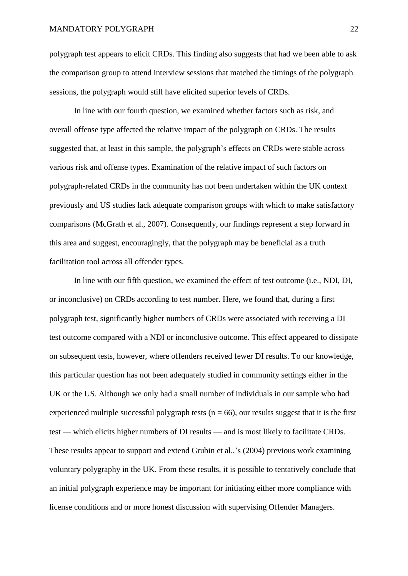polygraph test appears to elicit CRDs. This finding also suggests that had we been able to ask the comparison group to attend interview sessions that matched the timings of the polygraph sessions, the polygraph would still have elicited superior levels of CRDs.

In line with our fourth question, we examined whether factors such as risk, and overall offense type affected the relative impact of the polygraph on CRDs. The results suggested that, at least in this sample, the polygraph's effects on CRDs were stable across various risk and offense types. Examination of the relative impact of such factors on polygraph-related CRDs in the community has not been undertaken within the UK context previously and US studies lack adequate comparison groups with which to make satisfactory comparisons (McGrath et al., 2007). Consequently, our findings represent a step forward in this area and suggest, encouragingly, that the polygraph may be beneficial as a truth facilitation tool across all offender types.

In line with our fifth question, we examined the effect of test outcome (i.e., NDI, DI, or inconclusive) on CRDs according to test number. Here, we found that, during a first polygraph test, significantly higher numbers of CRDs were associated with receiving a DI test outcome compared with a NDI or inconclusive outcome. This effect appeared to dissipate on subsequent tests, however, where offenders received fewer DI results. To our knowledge, this particular question has not been adequately studied in community settings either in the UK or the US. Although we only had a small number of individuals in our sample who had experienced multiple successful polygraph tests ( $n = 66$ ), our results suggest that it is the first test — which elicits higher numbers of DI results — and is most likely to facilitate CRDs. These results appear to support and extend Grubin et al.,'s (2004) previous work examining voluntary polygraphy in the UK. From these results, it is possible to tentatively conclude that an initial polygraph experience may be important for initiating either more compliance with license conditions and or more honest discussion with supervising Offender Managers.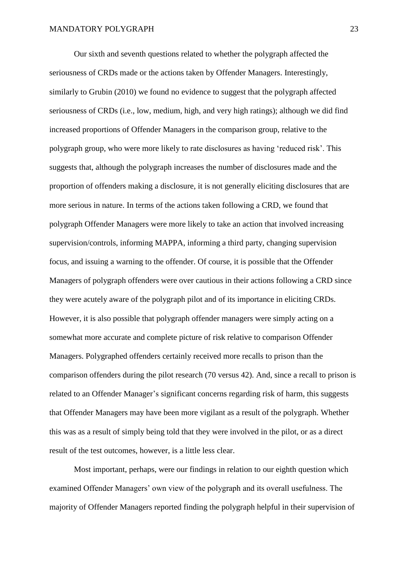Our sixth and seventh questions related to whether the polygraph affected the seriousness of CRDs made or the actions taken by Offender Managers. Interestingly, similarly to Grubin (2010) we found no evidence to suggest that the polygraph affected seriousness of CRDs (i.e., low, medium, high, and very high ratings); although we did find increased proportions of Offender Managers in the comparison group, relative to the polygraph group, who were more likely to rate disclosures as having 'reduced risk'. This suggests that, although the polygraph increases the number of disclosures made and the proportion of offenders making a disclosure, it is not generally eliciting disclosures that are more serious in nature. In terms of the actions taken following a CRD, we found that polygraph Offender Managers were more likely to take an action that involved increasing supervision/controls, informing MAPPA, informing a third party, changing supervision focus, and issuing a warning to the offender. Of course, it is possible that the Offender Managers of polygraph offenders were over cautious in their actions following a CRD since they were acutely aware of the polygraph pilot and of its importance in eliciting CRDs. However, it is also possible that polygraph offender managers were simply acting on a somewhat more accurate and complete picture of risk relative to comparison Offender Managers. Polygraphed offenders certainly received more recalls to prison than the comparison offenders during the pilot research (70 versus 42). And, since a recall to prison is related to an Offender Manager's significant concerns regarding risk of harm, this suggests that Offender Managers may have been more vigilant as a result of the polygraph. Whether this was as a result of simply being told that they were involved in the pilot, or as a direct result of the test outcomes, however, is a little less clear.

Most important, perhaps, were our findings in relation to our eighth question which examined Offender Managers' own view of the polygraph and its overall usefulness. The majority of Offender Managers reported finding the polygraph helpful in their supervision of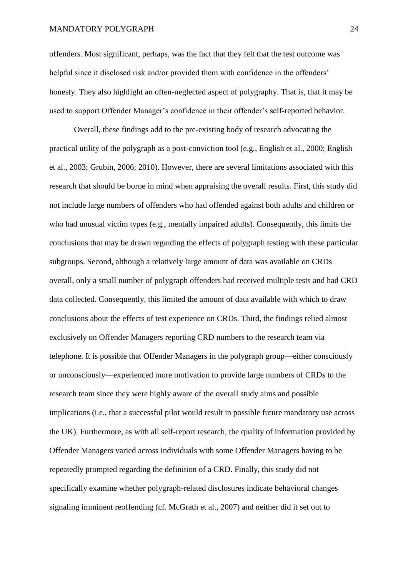offenders. Most significant, perhaps, was the fact that they felt that the test outcome was helpful since it disclosed risk and/or provided them with confidence in the offenders' honesty. They also highlight an often-neglected aspect of polygraphy. That is, that it may be used to support Offender Manager's confidence in their offender's self-reported behavior.

Overall, these findings add to the pre-existing body of research advocating the practical utility of the polygraph as a post-conviction tool (e.g., English et al., 2000; English et al., 2003; Grubin, 2006; 2010). However, there are several limitations associated with this research that should be borne in mind when appraising the overall results. First, this study did not include large numbers of offenders who had offended against both adults and children or who had unusual victim types (e.g., mentally impaired adults). Consequently, this limits the conclusions that may be drawn regarding the effects of polygraph testing with these particular subgroups. Second, although a relatively large amount of data was available on CRDs overall, only a small number of polygraph offenders had received multiple tests and had CRD data collected. Consequently, this limited the amount of data available with which to draw conclusions about the effects of test experience on CRDs. Third, the findings relied almost exclusively on Offender Managers reporting CRD numbers to the research team via telephone. It is possible that Offender Managers in the polygraph group—either consciously or unconsciously—experienced more motivation to provide large numbers of CRDs to the research team since they were highly aware of the overall study aims and possible implications (i.e., that a successful pilot would result in possible future mandatory use across the UK). Furthermore, as with all self-report research, the quality of information provided by Offender Managers varied across individuals with some Offender Managers having to be repeatedly prompted regarding the definition of a CRD. Finally, this study did not specifically examine whether polygraph-related disclosures indicate behavioral changes signaling imminent reoffending (cf. McGrath et al., 2007) and neither did it set out to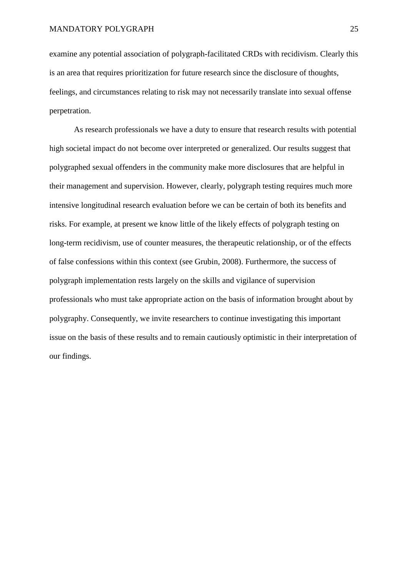examine any potential association of polygraph-facilitated CRDs with recidivism. Clearly this is an area that requires prioritization for future research since the disclosure of thoughts, feelings, and circumstances relating to risk may not necessarily translate into sexual offense perpetration.

As research professionals we have a duty to ensure that research results with potential high societal impact do not become over interpreted or generalized. Our results suggest that polygraphed sexual offenders in the community make more disclosures that are helpful in their management and supervision. However, clearly, polygraph testing requires much more intensive longitudinal research evaluation before we can be certain of both its benefits and risks. For example, at present we know little of the likely effects of polygraph testing on long-term recidivism, use of counter measures, the therapeutic relationship, or of the effects of false confessions within this context (see Grubin, 2008). Furthermore, the success of polygraph implementation rests largely on the skills and vigilance of supervision professionals who must take appropriate action on the basis of information brought about by polygraphy. Consequently, we invite researchers to continue investigating this important issue on the basis of these results and to remain cautiously optimistic in their interpretation of our findings.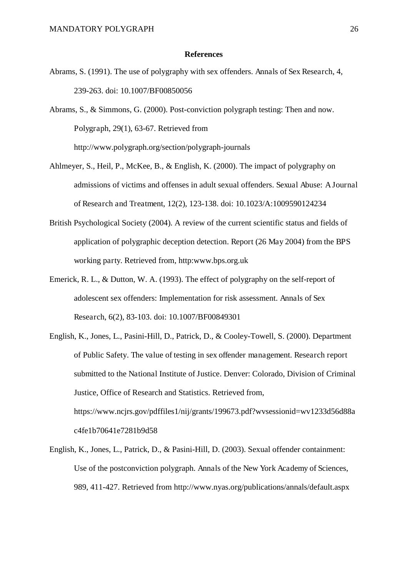#### **References**

Abrams, S. (1991). The use of polygraphy with sex offenders. Annals of Sex Research, 4, 239-263. doi: 10.1007/BF00850056

Abrams, S., & Simmons, G. (2000). Post-conviction polygraph testing: Then and now. Polygraph, 29(1), 63-67. Retrieved from http://www.polygraph.org/section/polygraph-journals

- Ahlmeyer, S., Heil, P., McKee, B., & English, K. (2000). The impact of polygraphy on admissions of victims and offenses in adult sexual offenders. Sexual Abuse: A Journal of Research and Treatment, 12(2), 123-138. doi: 10.1023/A:1009590124234
- British Psychological Society (2004). A review of the current scientific status and fields of application of polygraphic deception detection. Report (26 May 2004) from the BPS working party. Retrieved from, http:www.bps.org.uk
- Emerick, R. L., & Dutton, W. A. (1993). The effect of polygraphy on the self-report of adolescent sex offenders: Implementation for risk assessment. Annals of Sex Research, 6(2), 83-103. doi: 10.1007/BF00849301
- English, K., Jones, L., Pasini-Hill, D., Patrick, D., & Cooley-Towell, S. (2000). Department of Public Safety. The value of testing in sex offender management. Research report submitted to the National Institute of Justice. Denver: Colorado, Division of Criminal Justice, Office of Research and Statistics. Retrieved from, https://www.ncjrs.gov/pdffiles1/nij/grants/199673.pdf?wvsessionid=wv1233d56d88a c4fe1b70641e7281b9d58
- English, K., Jones, L., Patrick, D., & Pasini-Hill, D. (2003). Sexual offender containment: Use of the postconviction polygraph. Annals of the New York Academy of Sciences, 989, 411-427. Retrieved from http://www.nyas.org/publications/annals/default.aspx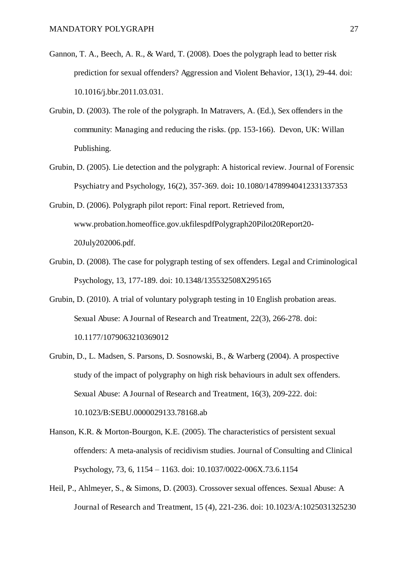- Gannon, T. A., Beech, A. R., & Ward, T. (2008). Does the polygraph lead to better risk prediction for sexual offenders? Aggression and Violent Behavior, 13(1), 29-44. doi: 10.1016/j.bbr.2011.03.031.
- Grubin, D. (2003). The role of the polygraph. In Matravers, A. (Ed.), Sex offenders in the community: Managing and reducing the risks. (pp. 153-166). Devon, UK: Willan Publishing.
- Grubin, D. (2005). Lie detection and the polygraph: A historical review. Journal of Forensic Psychiatry and Psychology, 16(2), 357-369. doi**:** 10.1080/14789940412331337353
- Grubin, D. (2006). Polygraph pilot report: Final report. Retrieved from, www.probation.homeoffice.gov.ukfilespdfPolygraph20Pilot20Report20- 20July202006.pdf.
- Grubin, D. (2008). The case for polygraph testing of sex offenders. Legal and Criminological Psychology, 13, 177-189. doi: 10.1348/135532508X295165
- Grubin, D. (2010). A trial of voluntary polygraph testing in 10 English probation areas. Sexual Abuse: A Journal of Research and Treatment, 22(3), 266-278. doi: 10.1177/1079063210369012
- Grubin, D., L. Madsen, S. Parsons, D. Sosnowski, B., & Warberg (2004). A prospective study of the impact of polygraphy on high risk behaviours in adult sex offenders. Sexual Abuse: A Journal of Research and Treatment, 16(3), 209-222. doi: 10.1023/B:SEBU.0000029133.78168.ab
- Hanson, K.R. & Morton-Bourgon, K.E. (2005). The characteristics of persistent sexual offenders: A meta-analysis of recidivism studies. Journal of Consulting and Clinical Psychology, 73, 6, 1154 – 1163. doi: 10.1037/0022-006X.73.6.1154
- Heil, P., Ahlmeyer, S., & Simons, D. (2003). Crossover sexual offences. Sexual Abuse: A Journal of Research and Treatment, 15 (4), 221-236. doi: 10.1023/A:1025031325230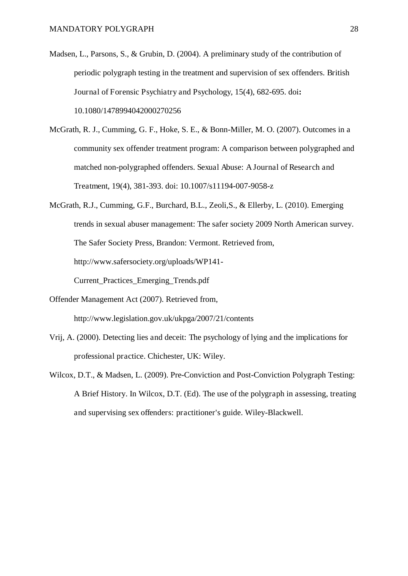- Madsen, L., Parsons, S., & Grubin, D. (2004). A preliminary study of the contribution of periodic polygraph testing in the treatment and supervision of sex offenders. British Journal of Forensic Psychiatry and Psychology, 15(4), 682-695. doi**:** 10.1080/1478994042000270256
- McGrath, R. J., Cumming, G. F., Hoke, S. E., & Bonn-Miller, M. O. (2007). Outcomes in a community sex offender treatment program: A comparison between polygraphed and matched non-polygraphed offenders. Sexual Abuse: A Journal of Research and Treatment, 19(4), 381-393. doi: 10.1007/s11194-007-9058-z
- McGrath, R.J., Cumming, G.F., Burchard, B.L., Zeoli,S., & Ellerby, L. (2010). Emerging trends in sexual abuser management: The safer society 2009 North American survey. The Safer Society Press, Brandon: Vermont. Retrieved from, http://www.safersociety.org/uploads/WP141-

Current\_Practices\_Emerging\_Trends.pdf

- Offender Management Act (2007). Retrieved from, http://www.legislation.gov.uk/ukpga/2007/21/contents
- Vrij, A. (2000). Detecting lies and deceit: The psychology of lying and the implications for professional practice. Chichester, UK: Wiley.
- Wilcox, D.T., & Madsen, L. (2009). Pre-Conviction and Post-Conviction Polygraph Testing: A Brief History. In Wilcox, D.T. (Ed). The use of the polygraph in assessing, treating and supervising sex offenders: practitioner's guide. Wiley-Blackwell.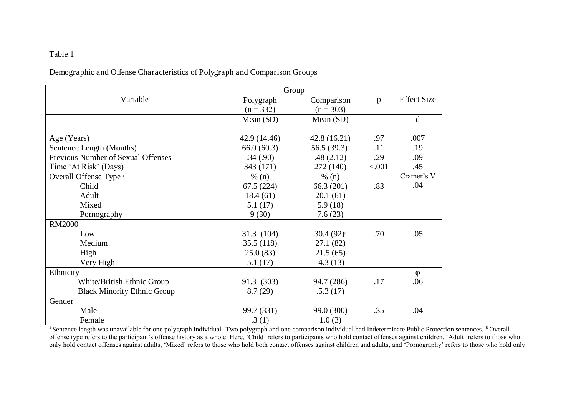#### Table 1

Demographic and Offense Characteristics of Polygraph and Comparison Groups

| Variable                           | Polygraph   | Comparison              | p      | <b>Effect Size</b> |
|------------------------------------|-------------|-------------------------|--------|--------------------|
|                                    | $(n = 332)$ | $(n = 303)$             |        |                    |
|                                    | Mean (SD)   | Mean $(SD)$             |        | d                  |
| Age (Years)                        | 42.9(14.46) | 42.8(16.21)             | .97    | .007               |
| Sentence Length (Months)           | 66.0(60.3)  | $56.5(39.3)^{a}$        | .11    | .19                |
| Previous Number of Sexual Offenses | .34(.90)    | .48(2.12)               | .29    | .09                |
| Time 'At Risk' (Days)              | 343(171)    | 272 (140)               | < .001 | .45                |
| Overall Offense Type <sup>b</sup>  | % (n)       | % (n)                   |        | Cramer's V         |
| Child                              | 67.5(224)   | 66.3 (201)              | .83    | .04                |
| Adult                              | 18.4(61)    | 20.1(61)                |        |                    |
| Mixed                              | 5.1(17)     | 5.9(18)                 |        |                    |
| Pornography                        | 9(30)       | 7.6(23)                 |        |                    |
| <b>RM2000</b>                      |             |                         |        |                    |
| Low                                | 31.3 (104)  | $30.4(92)$ <sup>c</sup> | .70    | .05                |
| Medium                             | 35.5(118)   | 27.1 (82)               |        |                    |
| High                               | 25.0(83)    | 21.5(65)                |        |                    |
| Very High                          | 5.1(17)     | 4.3(13)                 |        |                    |
| Ethnicity                          |             |                         |        | $\varphi$          |
| White/British Ethnic Group         | 91.3 (303)  | 94.7 (286)              | .17    | .06                |
| <b>Black Minority Ethnic Group</b> | 8.7(29)     | .5.3(17)                |        |                    |
| Gender                             |             |                         |        |                    |
| Male                               | 99.7 (331)  | 99.0 (300)              | .35    | .04                |
| Female                             | .3(1)       | 1.0(3)                  |        |                    |

<sup>a</sup> Sentence length was unavailable for one polygraph individual. Two polygraph and one comparison individual had Indeterminate Public Protection sentences. <sup>b</sup> Overall offense type refers to the participant's offense history as a whole. Here, 'Child' refers to participants who hold contact offenses against children, 'Adult' refers to those who only hold contact offenses against adults, 'Mixed' refers to those who hold both contact offenses against children and adults, and 'Pornography' refers to those who hold only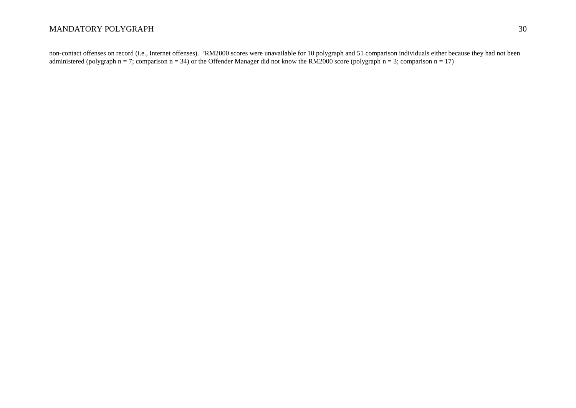non-contact offenses on record (i.e., Internet offenses). <sup>c</sup>RM2000 scores were unavailable for 10 polygraph and 51 comparison individuals either because they had not been administered (polygraph n = 7; comparison n = 34) or the Offender Manager did not know the RM2000 score (polygraph n = 3; comparison n = 17)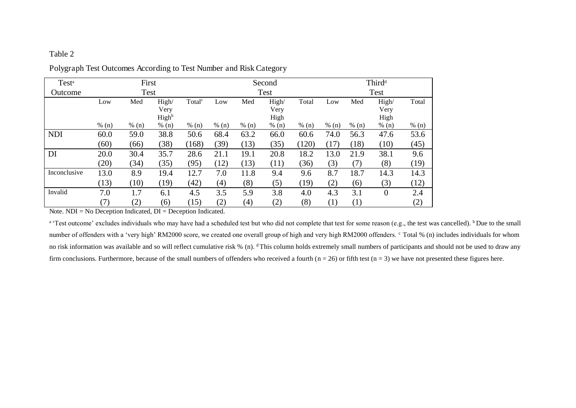#### Table 2

| <b>Testa</b> |       | First |                   |                    |       |       | Second |       |       |                   | Third <sup>d</sup> |       |
|--------------|-------|-------|-------------------|--------------------|-------|-------|--------|-------|-------|-------------------|--------------------|-------|
| Outcome      |       | Test  |                   |                    |       |       | Test   |       |       |                   | Test               |       |
|              | Low   | Med   | High/             | Total <sup>c</sup> | Low   | Med   | High/  | Total | Low   | Med               | High/              | Total |
|              |       |       | Very              |                    |       |       | Very   |       |       |                   | Very               |       |
|              |       |       | High <sup>b</sup> |                    |       |       | High   |       |       |                   | High               |       |
|              | % (n) | % (n) | % (n)             | % (n)              | % (n) | % (n) | % (n)  | % (n) | % (n) | % (n)             | % (n)              | % (n) |
| <b>NDI</b>   | 60.0  | 59.0  | 38.8              | 50.6               | 68.4  | 63.2  | 66.0   | 60.6  | 74.0  | 56.3              | 47.6               | 53.6  |
|              | (60)  | (66)  | (38)              | (168)              | (39)  | (13)  | (35)   | (120) | (17)  | (18)              | (10)               | (45)  |
| DI           | 20.0  | 30.4  | 35.7              | 28.6               | 21.1  | 19.1  | 20.8   | 18.2  | 13.0  | 21.9              | 38.1               | 9.6   |
|              | (20)  | (34)  | (35)              | (95)               | (12)  | (13)  | (11)   | (36)  | (3)   | (7)               | (8)                | (19)  |
| Inconclusive | 13.0  | 8.9   | 19.4              | 12.7               | 7.0   | 11.8  | 9.4    | 9.6   | 8.7   | 18.7              | 14.3               | 14.3  |
|              | (13)  | (10)  | (19)              | (42)               | (4)   | (8)   | (5)    | (19)  | (2)   | (6)               | (3)                | (12)  |
| Invalid      | 7.0   | 1.7   | 6.1               | 4.5                | 3.5   | 5.9   | 3.8    | 4.0   | 4.3   | 3.1               | $\overline{0}$     | 2.4   |
|              | (7)   | (2)   | (6)               | (15)               | (2)   | (4)   | (2)    | (8)   | (1)   | $\left( 1\right)$ |                    | (2)   |

Polygraph Test Outcomes According to Test Number and Risk Category

Note. NDI = No Deception Indicated, DI = Deception Indicated.

<sup>a</sup> 'Test outcome' excludes individuals who may have had a scheduled test but who did not complete that test for some reason (e.g., the test was cancelled). <sup>b</sup>Due to the small number of offenders with a 'very high' RM2000 score, we created one overall group of high and very high RM2000 offenders. <sup>c</sup> Total % (n) includes individuals for whom no risk information was available and so will reflect cumulative risk % (n). <sup>d</sup>This column holds extremely small numbers of participants and should not be used to draw any firm conclusions. Furthermore, because of the small numbers of offenders who received a fourth ( $n = 26$ ) or fifth test ( $n = 3$ ) we have not presented these figures here.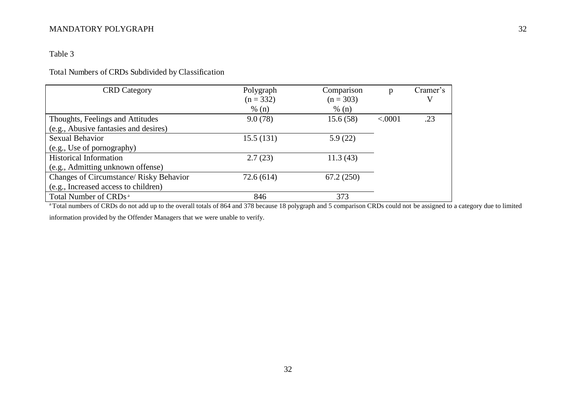#### Table 3

#### Total Numbers of CRDs Subdivided by Classification

| <b>CRD</b> Category                     | Polygraph   | Comparison  | p       | Cramer's |
|-----------------------------------------|-------------|-------------|---------|----------|
|                                         | $(n = 332)$ | $(n = 303)$ |         | V        |
|                                         | % (n)       | % (n)       |         |          |
| Thoughts, Feelings and Attitudes        | 9.0(78)     | 15.6(58)    | < .0001 | .23      |
| (e.g., Abusive fantasies and desires)   |             |             |         |          |
| <b>Sexual Behavior</b>                  | 15.5(131)   | 5.9(22)     |         |          |
| (e.g., Use of pornography)              |             |             |         |          |
| <b>Historical Information</b>           | 2.7(23)     | 11.3(43)    |         |          |
| (e.g., Admitting unknown offense)       |             |             |         |          |
| Changes of Circumstance/ Risky Behavior | 72.6(614)   | 67.2(250)   |         |          |
| (e.g., Increased access to children)    |             |             |         |          |
| Total Number of CRDs <sup>a</sup>       | 846         | 373         |         |          |

<sup>a</sup> Total numbers of CRDs do not add up to the overall totals of 864 and 378 because 18 polygraph and 5 comparison CRDs could not be assigned to a category due to limited

information provided by the Offender Managers that we were unable to verify.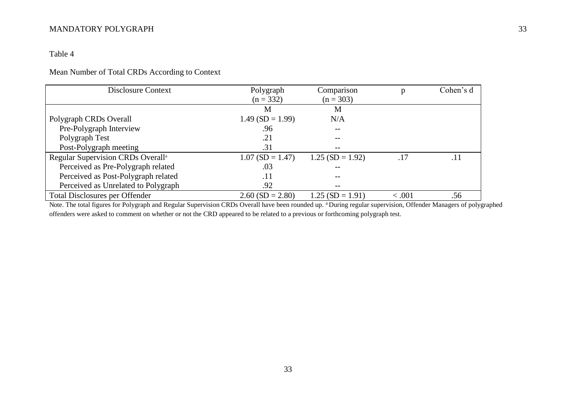#### Table 4

#### Mean Number of Total CRDs According to Context

| Disclosure Context                            | Polygraph<br>$(n = 332)$ | Comparison<br>$(n = 303)$ |        | Cohen's d |
|-----------------------------------------------|--------------------------|---------------------------|--------|-----------|
|                                               | М                        | M                         |        |           |
| Polygraph CRDs Overall                        | $1.49$ (SD = 1.99)       | N/A                       |        |           |
| Pre-Polygraph Interview                       | .96                      |                           |        |           |
| Polygraph Test                                | .21                      |                           |        |           |
| Post-Polygraph meeting                        | .31                      |                           |        |           |
| Regular Supervision CRDs Overall <sup>a</sup> | $1.07(SD = 1.47)$        | $1.25(SD = 1.92)$         | .17    | .11       |
| Perceived as Pre-Polygraph related            | .03                      |                           |        |           |
| Perceived as Post-Polygraph related           | .11                      |                           |        |           |
| Perceived as Unrelated to Polygraph           | .92                      |                           |        |           |
| Total Disclosures per Offender                | $2.60$ (SD = 2.80)       | $1.25(SD = 1.91)$         | < .001 | .56       |

Note. The total figures for Polygraph and Regular Supervision CRDs Overall have been rounded up. <sup>a</sup> During regular supervision, Offender Managers of polygraphed offenders were asked to comment on whether or not the CRD appeared to be related to a previous or forthcoming polygraph test.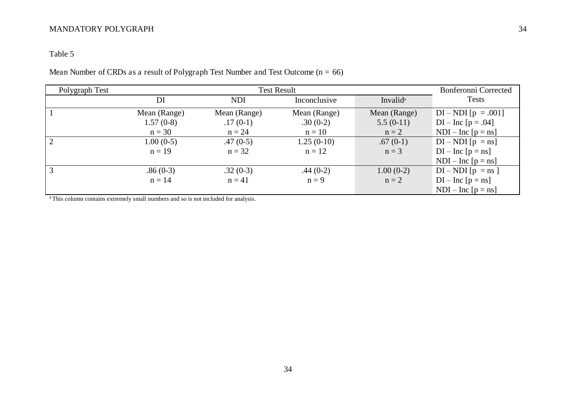#### Table 5

Mean Number of CRDs as a result of Polygraph Test Number and Test Outcome  $(n = 66)$ 

| Polygraph Test |              |              | Bonferonni Corrected |                      |                       |
|----------------|--------------|--------------|----------------------|----------------------|-----------------------|
|                | DI           | <b>NDI</b>   | Inconclusive         | Invalid <sup>a</sup> | <b>Tests</b>          |
|                | Mean (Range) | Mean (Range) | Mean (Range)         | Mean (Range)         | $DI - NDI$ [p = .001] |
|                | $1.57(0-8)$  | $.17(0-1)$   | $.30(0-2)$           | $5.5(0-11)$          | $DI - Inc$ [p = .04]  |
|                | $n = 30$     | $n = 24$     | $n = 10$             | $n = 2$              | $NDI - Inc$ [p = ns]  |
|                | $1.00(0-5)$  | $.47(0-5)$   | $1.25(0-10)$         | $.67(0-1)$           | $DI - NDI$ [p = ns]   |
|                | $n = 19$     | $n = 32$     | $n = 12$             | $n = 3$              | $DI - Inc$ [p = ns]   |
|                |              |              |                      |                      | $NDI - Inc$ [p = ns]  |
|                | $.86(0-3)$   | $.32(0-3)$   | $.44(0-2)$           | $1.00(0-2)$          | $DI - NDI$ [p = ns ]  |
|                | $n = 14$     | $n = 41$     | $n = 9$              | $n = 2$              | $DI - Inc$ [p = ns]   |
|                |              |              |                      |                      | $NDI - Inc$ [p = ns]  |

<sup>a</sup>This column contains extremely small numbers and so is not included for analysis.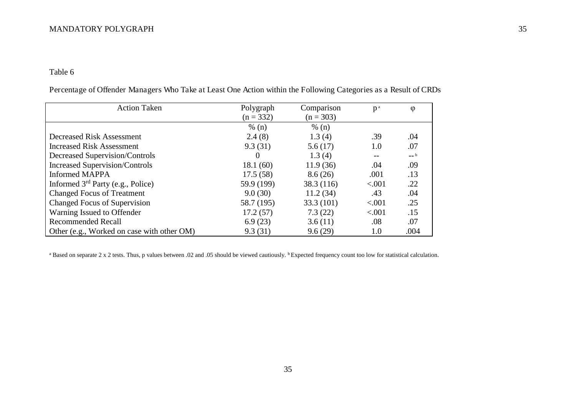#### Table 6

|  | Percentage of Offender Managers Who Take at Least One Action within the Following Categories as a Result of CRDs |  |
|--|------------------------------------------------------------------------------------------------------------------|--|
|  |                                                                                                                  |  |

| <b>Action Taken</b>                        | Polygraph   | Comparison  | p <sup>a</sup> | φ     |
|--------------------------------------------|-------------|-------------|----------------|-------|
|                                            | $(n = 332)$ | $(n = 303)$ |                |       |
|                                            | % (n)       | % (n)       |                |       |
| <b>Decreased Risk Assessment</b>           | 2.4(8)      | 1.3(4)      | .39            | .04   |
| <b>Increased Risk Assessment</b>           | 9.3(31)     | 5.6(17)     | 1.0            | .07   |
| Decreased Supervision/Controls             | $\theta$    | 1.3(4)      | --             | $-$ b |
| <b>Increased Supervision/Controls</b>      | 18.1(60)    | 11.9(36)    | .04            | .09   |
| <b>Informed MAPPA</b>                      | 17.5(58)    | 8.6(26)     | .001           | .13   |
| Informed $3rd$ Party (e.g., Police)        | 59.9 (199)  | 38.3 (116)  | < .001         | .22   |
| <b>Changed Focus of Treatment</b>          | 9.0(30)     | 11.2(34)    | .43            | .04   |
| Changed Focus of Supervision               | 58.7 (195)  | 33.3 (101)  | < .001         | .25   |
| Warning Issued to Offender                 | 17.2(57)    | 7.3(22)     | < .001         | .15   |
| <b>Recommended Recall</b>                  | 6.9(23)     | 3.6(11)     | .08            | .07   |
| Other (e.g., Worked on case with other OM) | 9.3(31)     | 9.6(29)     | 1.0            | .004  |

<sup>a</sup> Based on separate 2 x 2 tests. Thus, p values between .02 and .05 should be viewed cautiously. <sup>b</sup> Expected frequency count too low for statistical calculation.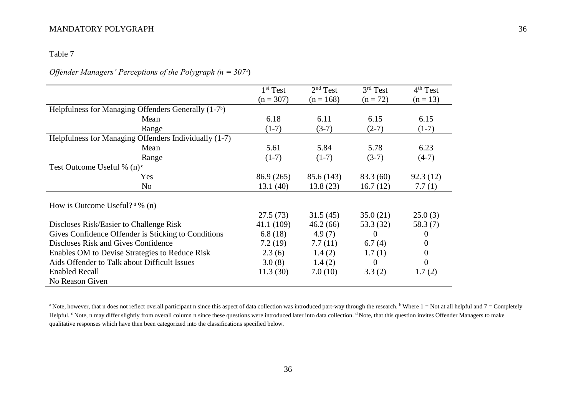#### Table 7

#### *Offender Managers' Perceptions of the Polygraph (n = 307*<sup>a</sup> )

|                                                                  | 1 <sup>st</sup> Test | 2 <sup>nd</sup> Test | 3 <sup>rd</sup> Test | 4 <sup>th</sup> Test |
|------------------------------------------------------------------|----------------------|----------------------|----------------------|----------------------|
|                                                                  | $(n = 307)$          | $(n = 168)$          | $(n = 72)$           | $(n = 13)$           |
| Helpfulness for Managing Offenders Generally (1-7 <sup>b</sup> ) |                      |                      |                      |                      |
| Mean                                                             | 6.18                 | 6.11                 | 6.15                 | 6.15                 |
| Range                                                            | $(1-7)$              | $(3-7)$              | $(2-7)$              | $(1-7)$              |
| Helpfulness for Managing Offenders Individually (1-7)            |                      |                      |                      |                      |
| Mean                                                             | 5.61                 | 5.84                 | 5.78                 | 6.23                 |
| Range                                                            | $(1-7)$              | $(1-7)$              | $(3-7)$              | $(4-7)$              |
| Test Outcome Useful % (n) <sup>c</sup>                           |                      |                      |                      |                      |
| Yes                                                              | 86.9 (265)           | 85.6 (143)           | 83.3 (60)            | 92.3(12)             |
| N <sub>o</sub>                                                   | 13.1(40)             | 13.8(23)             | 16.7(12)             | 7.7(1)               |
|                                                                  |                      |                      |                      |                      |
| How is Outcome Useful? <sup><math>d \%</math> (n)</sup>          |                      |                      |                      |                      |
|                                                                  | 27.5(73)             | 31.5(45)             | 35.0(21)             | 25.0(3)              |
| Discloses Risk/Easier to Challenge Risk                          | 41.1 (109)           | 46.2(66)             | 53.3 (32)            | 58.3 (7)             |
| Gives Confidence Offender is Sticking to Conditions              | 6.8(18)              | 4.9(7)               | $\overline{0}$       | $\Omega$             |
| Discloses Risk and Gives Confidence                              | 7.2(19)              | 7.7(11)              | 6.7(4)               | $\theta$             |
| Enables OM to Devise Strategies to Reduce Risk                   | 2.3(6)               | 1.4(2)               | 1.7(1)               | 0                    |
| Aids Offender to Talk about Difficult Issues                     | 3.0(8)               | 1.4(2)               | $\overline{0}$       | $\theta$             |
| <b>Enabled Recall</b>                                            | 11.3(30)             | 7.0(10)              | 3.3(2)               | 1.7(2)               |
| No Reason Given                                                  |                      |                      |                      |                      |

<sup>a</sup> Note, however, that n does not reflect overall participant n since this aspect of data collection was introduced part-way through the research. <sup>b</sup> Where  $1 = Not$  at all helpful and  $7 = Completely$ Helpful. <sup>c</sup> Note, n may differ slightly from overall column n since these questions were introduced later into data collection. <sup>d</sup> Note, that this question invites Offender Managers to make qualitative responses which have then been categorized into the classifications specified below.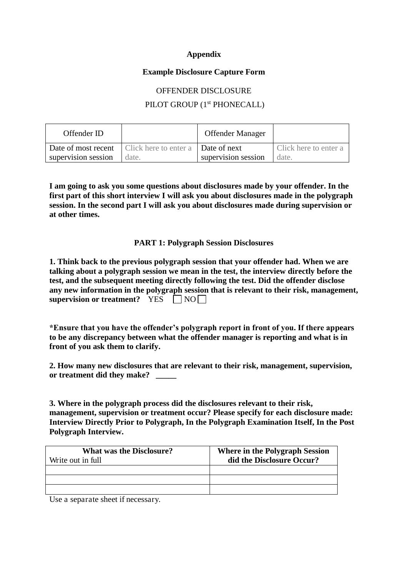#### **Appendix**

#### **Example Disclosure Capture Form**

#### OFFENDER DISCLOSURE

#### PILOT GROUP (1<sup>st</sup> PHONECALL)

| Offender ID         |                                                            | <b>Offender Manager</b> |                       |
|---------------------|------------------------------------------------------------|-------------------------|-----------------------|
|                     | Date of most recent   Click here to enter a   Date of next |                         | Click here to enter a |
| supervision session | date.                                                      | supervision session     | date.                 |

**I am going to ask you some questions about disclosures made by your offender. In the first part of this short interview I will ask you about disclosures made in the polygraph session. In the second part I will ask you about disclosures made during supervision or at other times.** 

#### **PART 1: Polygraph Session Disclosures**

**1. Think back to the previous polygraph session that your offender had. When we are talking about a polygraph session we mean in the test, the interview directly before the test, and the subsequent meeting directly following the test. Did the offender disclose any new information in the polygraph session that is relevant to their risk, management, supervision or treatment?** YES  $\Box$  NO

**\*Ensure that you have the offender's polygraph report in front of you. If there appears to be any discrepancy between what the offender manager is reporting and what is in front of you ask them to clarify.** 

**2. How many new disclosures that are relevant to their risk, management, supervision, or treatment did they make? \_\_\_\_\_** 

**3. Where in the polygraph process did the disclosures relevant to their risk, management, supervision or treatment occur? Please specify for each disclosure made: Interview Directly Prior to Polygraph, In the Polygraph Examination Itself, In the Post Polygraph Interview.** 

| <b>What was the Disclosure?</b> | <b>Where in the Polygraph Session</b> |
|---------------------------------|---------------------------------------|
| Write out in full               | did the Disclosure Occur?             |
|                                 |                                       |
|                                 |                                       |
|                                 |                                       |

Use a separate sheet if necessary.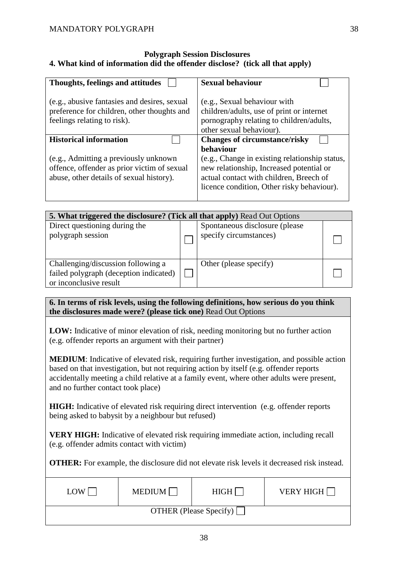#### **Polygraph Session Disclosures 4. What kind of information did the offender disclose? (tick all that apply)**

| Thoughts, feelings and attitudes                                                                                                  | <b>Sexual behaviour</b>                                                                                                                                                                          |
|-----------------------------------------------------------------------------------------------------------------------------------|--------------------------------------------------------------------------------------------------------------------------------------------------------------------------------------------------|
| (e.g., abusive fantasies and desires, sexual<br>preference for children, other thoughts and<br>feelings relating to risk).        | (e.g., Sexual behaviour with<br>children/adults, use of print or internet<br>pornography relating to children/adults,<br>other sexual behaviour).                                                |
| <b>Historical information</b>                                                                                                     | <b>Changes of circumstance/risky</b>                                                                                                                                                             |
| (e.g., Admitting a previously unknown)<br>offence, offender as prior victim of sexual<br>abuse, other details of sexual history). | behaviour<br>(e.g., Change in existing relationship status,<br>new relationship, Increased potential or<br>actual contact with children, Breech of<br>licence condition, Other risky behaviour). |

| <b>5. What triggered the disclosure? (Tick all that apply)</b> Read Out Options                        |  |                                                           |  |  |  |  |
|--------------------------------------------------------------------------------------------------------|--|-----------------------------------------------------------|--|--|--|--|
| Direct questioning during the<br>polygraph session                                                     |  | Spontaneous disclosure (please)<br>specify circumstances) |  |  |  |  |
| Challenging/discussion following a<br>failed polygraph (deception indicated)<br>or inconclusive result |  | Other (please specify)                                    |  |  |  |  |

**6. In terms of risk levels, using the following definitions, how serious do you think the disclosures made were? (please tick one)** Read Out Options

**LOW:** Indicative of minor elevation of risk, needing monitoring but no further action (e.g. offender reports an argument with their partner)

**MEDIUM**: Indicative of elevated risk, requiring further investigation, and possible action based on that investigation, but not requiring action by itself (e.g. offender reports accidentally meeting a child relative at a family event, where other adults were present, and no further contact took place)

**HIGH:** Indicative of elevated risk requiring direct intervention (e.g. offender reports being asked to babysit by a neighbour but refused)

**VERY HIGH:** Indicative of elevated risk requiring immediate action, including recall (e.g. offender admits contact with victim)

|                        |               |      | <b>OTHER:</b> For example, the disclosure did not elevate risk levels it decreased risk instead. |  |  |
|------------------------|---------------|------|--------------------------------------------------------------------------------------------------|--|--|
| LOW                    | <b>MEDIUM</b> | HIGH | VERY HIGH                                                                                        |  |  |
| OTHER (Please Specify) |               |      |                                                                                                  |  |  |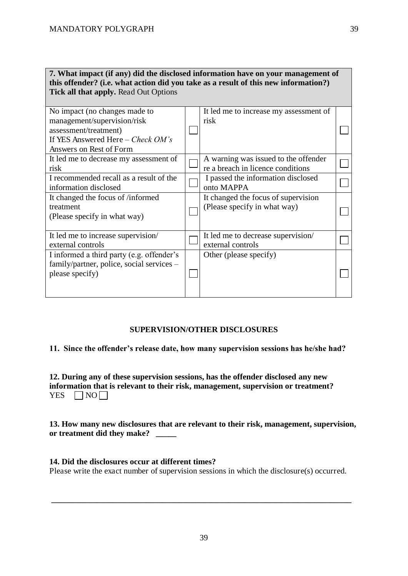#### **7. What impact (if any) did the disclosed information have on your management of this offender? (i.e. what action did you take as a result of this new information?) Tick all that apply.** Read Out Options

| No impact (no changes made to             |  | It led me to increase my assessment of |  |
|-------------------------------------------|--|----------------------------------------|--|
| management/supervision/risk               |  | risk                                   |  |
| assessment/treatment)                     |  |                                        |  |
| If YES Answered Here – Check $OM's$       |  |                                        |  |
| Answers on Rest of Form                   |  |                                        |  |
| It led me to decrease my assessment of    |  | A warning was issued to the offender   |  |
| risk                                      |  | re a breach in licence conditions      |  |
| I recommended recall as a result of the   |  | I passed the information disclosed     |  |
| information disclosed                     |  | onto MAPPA                             |  |
| It changed the focus of /informed         |  | It changed the focus of supervision    |  |
| treatment                                 |  | (Please specify in what way)           |  |
| (Please specify in what way)              |  |                                        |  |
|                                           |  |                                        |  |
| It led me to increase supervision/        |  | It led me to decrease supervision/     |  |
| external controls                         |  | external controls                      |  |
| I informed a third party (e.g. offender's |  | Other (please specify)                 |  |
| family/partner, police, social services – |  |                                        |  |
| please specify)                           |  |                                        |  |
|                                           |  |                                        |  |
|                                           |  |                                        |  |
|                                           |  |                                        |  |

#### **SUPERVISION/OTHER DISCLOSURES**

**11. Since the offender's release date, how many supervision sessions has he/she had?**

**12. During any of these supervision sessions, has the offender disclosed any new information that is relevant to their risk, management, supervision or treatment?**  YES  $\Box$  NO $\Box$ 

**13. How many new disclosures that are relevant to their risk, management, supervision, or treatment did they make? \_\_\_\_\_** 

#### **14. Did the disclosures occur at different times?**

Please write the exact number of supervision sessions in which the disclosure(s) occurred.

 **\_\_\_\_\_\_\_\_\_\_\_\_\_\_\_\_\_\_\_\_\_\_\_\_\_\_\_\_\_\_\_\_\_\_\_\_\_\_\_\_\_\_\_\_\_\_\_\_\_\_\_\_\_\_\_\_\_\_\_\_\_\_\_\_\_\_\_\_\_\_\_\_\_**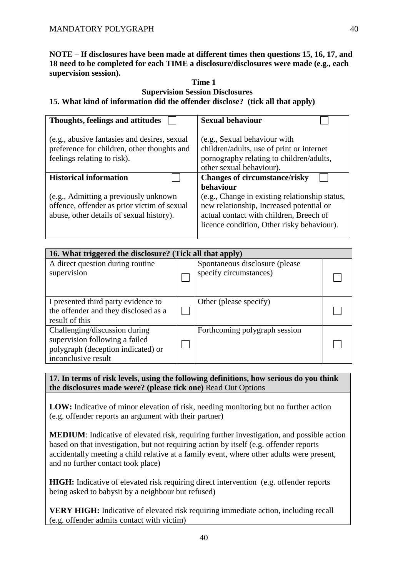**NOTE – If disclosures have been made at different times then questions 15, 16, 17, and 18 need to be completed for each TIME a disclosure/disclosures were made (e.g., each supervision session).** 

#### **Time 1 Supervision Session Disclosures 15. What kind of information did the offender disclose? (tick all that apply)**

| Thoughts, feelings and attitudes                                                                                                  | Sexual behaviour                                                                                                                                                                                        |
|-----------------------------------------------------------------------------------------------------------------------------------|---------------------------------------------------------------------------------------------------------------------------------------------------------------------------------------------------------|
| (e.g., abusive fantasies and desires, sexual<br>preference for children, other thoughts and<br>feelings relating to risk).        | (e.g., Sexual behaviour with<br>children/adults, use of print or internet<br>pornography relating to children/adults,<br>other sexual behaviour).                                                       |
| <b>Historical information</b>                                                                                                     | <b>Changes of circumstance/risky</b>                                                                                                                                                                    |
| (e.g., Admitting a previously unknown)<br>offence, offender as prior victim of sexual<br>abuse, other details of sexual history). | <b>behaviour</b><br>(e.g., Change in existing relationship status,<br>new relationship, Increased potential or<br>actual contact with children, Breech of<br>licence condition, Other risky behaviour). |

| 16. What triggered the disclosure? (Tick all that apply)                                                                     |  |                                                           |  |
|------------------------------------------------------------------------------------------------------------------------------|--|-----------------------------------------------------------|--|
| A direct question during routine<br>supervision                                                                              |  | Spontaneous disclosure (please)<br>specify circumstances) |  |
| I presented third party evidence to<br>the offender and they disclosed as a<br>result of this                                |  | Other (please specify)                                    |  |
| Challenging/discussion during<br>supervision following a failed<br>polygraph (deception indicated) or<br>inconclusive result |  | Forthcoming polygraph session                             |  |

#### **17. In terms of risk levels, using the following definitions, how serious do you think the disclosures made were? (please tick one)** Read Out Options

**LOW:** Indicative of minor elevation of risk, needing monitoring but no further action (e.g. offender reports an argument with their partner)

**MEDIUM**: Indicative of elevated risk, requiring further investigation, and possible action based on that investigation, but not requiring action by itself (e.g. offender reports accidentally meeting a child relative at a family event, where other adults were present, and no further contact took place)

**HIGH:** Indicative of elevated risk requiring direct intervention (e.g. offender reports being asked to babysit by a neighbour but refused)

**VERY HIGH:** Indicative of elevated risk requiring immediate action, including recall (e.g. offender admits contact with victim)

40